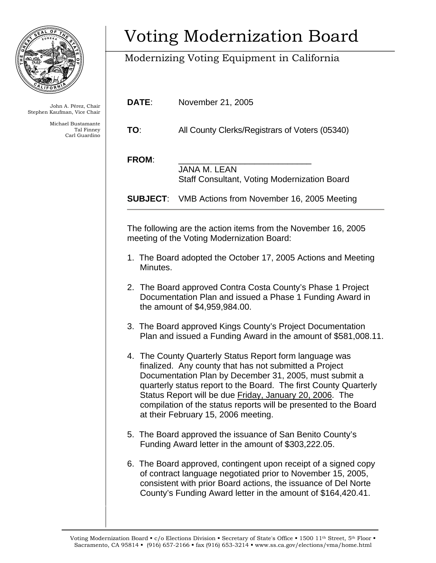

John A. Pérez, Chair Stephen Kaufman, Vice Chair

> Michael Bustamante Tal Finney Carl Guardino

## Voting Modernization Board

## Modernizing Voting Equipment in California

**DATE**: November 21, 2005

**TO**: All County Clerks/Registrars of Voters (05340)

FROM:

 JANA M. LEAN Staff Consultant, Voting Modernization Board

**SUBJECT**: VMB Actions from November 16, 2005 Meeting

The following are the action items from the November 16, 2005 meeting of the Voting Modernization Board:

- 1. The Board adopted the October 17, 2005 Actions and Meeting Minutes.
- 2. The Board approved Contra Costa County's Phase 1 Project Documentation Plan and issued a Phase 1 Funding Award in the amount of \$4,959,984.00.
- 3. The Board approved Kings County's Project Documentation Plan and issued a Funding Award in the amount of \$581,008.11.
- 4. The County Quarterly Status Report form language was finalized. Any county that has not submitted a Project Documentation Plan by December 31, 2005, must submit a quarterly status report to the Board. The first County Quarterly Status Report will be due Friday, January 20, 2006. The compilation of the status reports will be presented to the Board at their February 15, 2006 meeting.
- 5. The Board approved the issuance of San Benito County's Funding Award letter in the amount of \$303,222.05.
- 6. The Board approved, contingent upon receipt of a signed copy of contract language negotiated prior to November 15, 2005, consistent with prior Board actions, the issuance of Del Norte County's Funding Award letter in the amount of \$164,420.41.